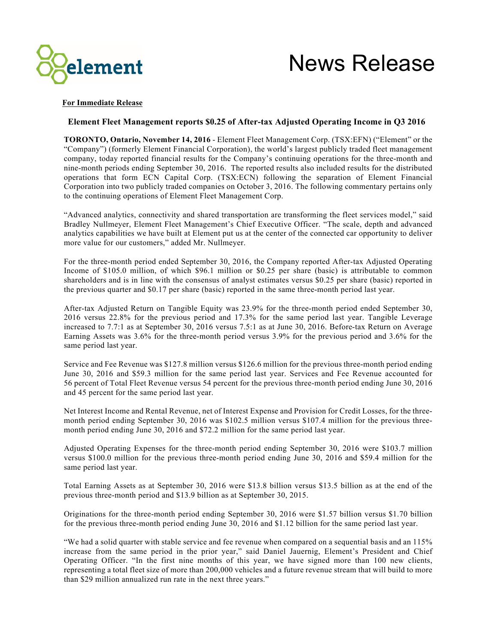

# News Release

## **For Immediate Release**

# **Element Fleet Management reports \$0.25 of After-tax Adjusted Operating Income in Q3 2016**

**TORONTO, Ontario, November 14, 2016** - Element Fleet Management Corp. (TSX:EFN) ("Element" or the "Company") (formerly Element Financial Corporation), the world's largest publicly traded fleet management company, today reported financial results for the Company's continuing operations for the three-month and nine-month periods ending September 30, 2016. The reported results also included results for the distributed operations that form ECN Capital Corp. (TSX:ECN) following the separation of Element Financial Corporation into two publicly traded companies on October 3, 2016. The following commentary pertains only to the continuing operations of Element Fleet Management Corp.

"Advanced analytics, connectivity and shared transportation are transforming the fleet services model," said Bradley Nullmeyer, Element Fleet Management's Chief Executive Officer. "The scale, depth and advanced analytics capabilities we have built at Element put us at the center of the connected car opportunity to deliver more value for our customers," added Mr. Nullmeyer.

For the three-month period ended September 30, 2016, the Company reported After-tax Adjusted Operating Income of \$105.0 million, of which \$96.1 million or \$0.25 per share (basic) is attributable to common shareholders and is in line with the consensus of analyst estimates versus \$0.25 per share (basic) reported in the previous quarter and \$0.17 per share (basic) reported in the same three-month period last year.

After-tax Adjusted Return on Tangible Equity was 23.9% for the three-month period ended September 30, 2016 versus 22.8% for the previous period and 17.3% for the same period last year. Tangible Leverage increased to 7.7:1 as at September 30, 2016 versus 7.5:1 as at June 30, 2016. Before-tax Return on Average Earning Assets was 3.6% for the three-month period versus 3.9% for the previous period and 3.6% for the same period last year.

Service and Fee Revenue was \$127.8 million versus \$126.6 million for the previous three-month period ending June 30, 2016 and \$59.3 million for the same period last year. Services and Fee Revenue accounted for 56 percent of Total Fleet Revenue versus 54 percent for the previous three-month period ending June 30, 2016 and 45 percent for the same period last year.

Net Interest Income and Rental Revenue, net of Interest Expense and Provision for Credit Losses, for the threemonth period ending September 30, 2016 was \$102.5 million versus \$107.4 million for the previous threemonth period ending June 30, 2016 and \$72.2 million for the same period last year.

Adjusted Operating Expenses for the three-month period ending September 30, 2016 were \$103.7 million versus \$100.0 million for the previous three-month period ending June 30, 2016 and \$59.4 million for the same period last year.

Total Earning Assets as at September 30, 2016 were \$13.8 billion versus \$13.5 billion as at the end of the previous three-month period and \$13.9 billion as at September 30, 2015.

Originations for the three-month period ending September 30, 2016 were \$1.57 billion versus \$1.70 billion for the previous three-month period ending June 30, 2016 and \$1.12 billion for the same period last year.

"We had a solid quarter with stable service and fee revenue when compared on a sequential basis and an 115% increase from the same period in the prior year," said Daniel Jauernig, Element's President and Chief Operating Officer. "In the first nine months of this year, we have signed more than 100 new clients, representing a total fleet size of more than 200,000 vehicles and a future revenue stream that will build to more than \$29 million annualized run rate in the next three years."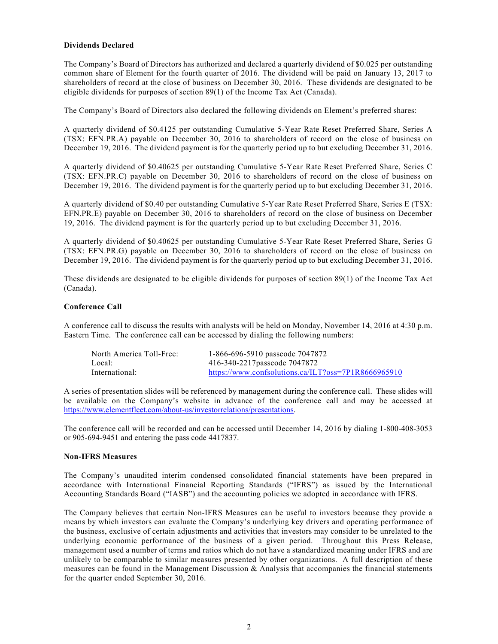## **Dividends Declared**

The Company's Board of Directors has authorized and declared a quarterly dividend of \$0.025 per outstanding common share of Element for the fourth quarter of 2016. The dividend will be paid on January 13, 2017 to shareholders of record at the close of business on December 30, 2016. These dividends are designated to be eligible dividends for purposes of section 89(1) of the Income Tax Act (Canada).

The Company's Board of Directors also declared the following dividends on Element's preferred shares:

A quarterly dividend of \$0.4125 per outstanding Cumulative 5-Year Rate Reset Preferred Share, Series A (TSX: EFN.PR.A) payable on December 30, 2016 to shareholders of record on the close of business on December 19, 2016. The dividend payment is for the quarterly period up to but excluding December 31, 2016.

A quarterly dividend of \$0.40625 per outstanding Cumulative 5-Year Rate Reset Preferred Share, Series C (TSX: EFN.PR.C) payable on December 30, 2016 to shareholders of record on the close of business on December 19, 2016. The dividend payment is for the quarterly period up to but excluding December 31, 2016.

A quarterly dividend of \$0.40 per outstanding Cumulative 5-Year Rate Reset Preferred Share, Series E (TSX: EFN.PR.E) payable on December 30, 2016 to shareholders of record on the close of business on December 19, 2016. The dividend payment is for the quarterly period up to but excluding December 31, 2016.

A quarterly dividend of \$0.40625 per outstanding Cumulative 5-Year Rate Reset Preferred Share, Series G (TSX: EFN.PR.G) payable on December 30, 2016 to shareholders of record on the close of business on December 19, 2016. The dividend payment is for the quarterly period up to but excluding December 31, 2016.

These dividends are designated to be eligible dividends for purposes of section 89(1) of the Income Tax Act (Canada).

## **Conference Call**

A conference call to discuss the results with analysts will be held on Monday, November 14, 2016 at 4:30 p.m. Eastern Time. The conference call can be accessed by dialing the following numbers:

| North America Toll-Free: | 1-866-696-5910 passcode 7047872                     |
|--------------------------|-----------------------------------------------------|
| Local:                   | 416-340-2217 passcode 7047872                       |
| International:           | https://www.confsolutions.ca/ILT?oss=7P1R8666965910 |

A series of presentation slides will be referenced by management during the conference call. These slides will be available on the Company's website in advance of the conference call and may be accessed at https://www.elementfleet.com/about-us/investorrelations/presentations.

The conference call will be recorded and can be accessed until December 14, 2016 by dialing 1-800-408-3053 or 905-694-9451 and entering the pass code 4417837.

### **Non-IFRS Measures**

The Company's unaudited interim condensed consolidated financial statements have been prepared in accordance with International Financial Reporting Standards ("IFRS") as issued by the International Accounting Standards Board ("IASB") and the accounting policies we adopted in accordance with IFRS.

The Company believes that certain Non-IFRS Measures can be useful to investors because they provide a means by which investors can evaluate the Company's underlying key drivers and operating performance of the business, exclusive of certain adjustments and activities that investors may consider to be unrelated to the underlying economic performance of the business of a given period. Throughout this Press Release, management used a number of terms and ratios which do not have a standardized meaning under IFRS and are unlikely to be comparable to similar measures presented by other organizations. A full description of these measures can be found in the Management Discussion & Analysis that accompanies the financial statements for the quarter ended September 30, 2016.